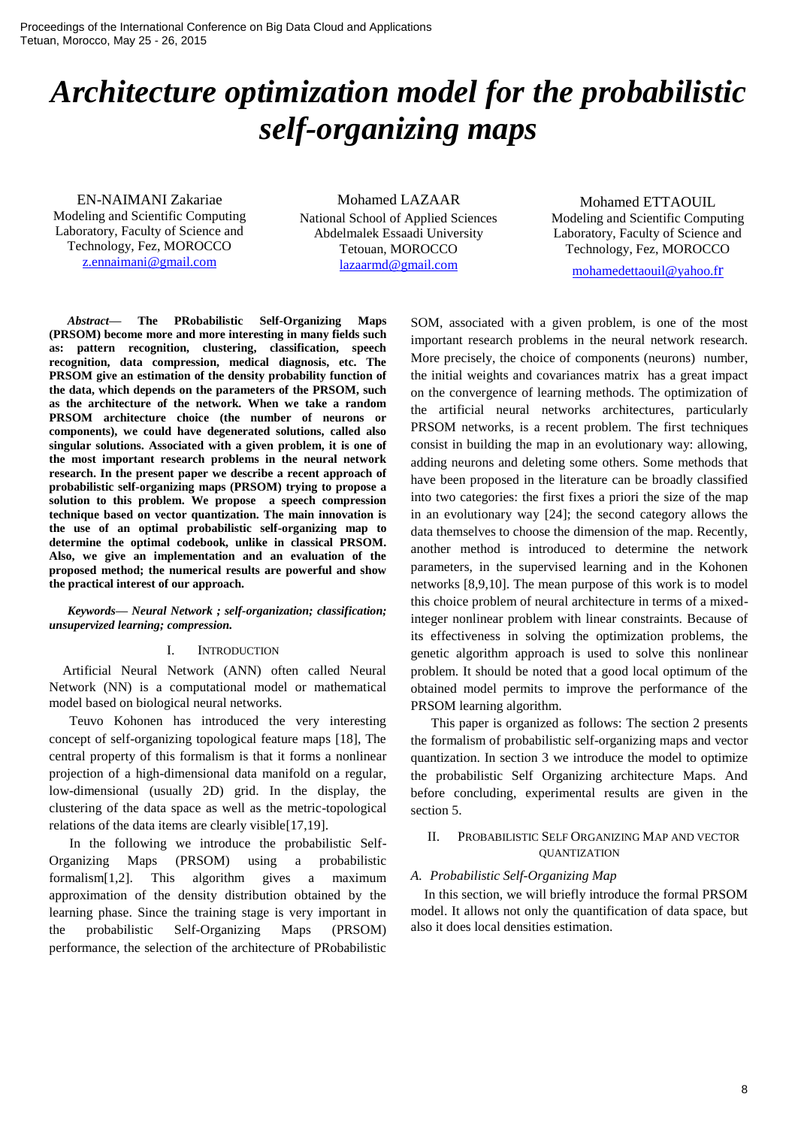Proceedings of the International Conference on Big Data Cloud and Applications Tetuan, Morocco, May 25 - 26, 2015

# *Architecture optimization model for the probabilistic self-organizing maps*

EN-NAIMANI Zakariae Modeling and Scientific Computing Laboratory, Faculty of Science and Technology, Fez, MOROCCO [z.ennaimani@gmail.com](mailto:z.ennaimani@gmail.com)

Mohamed LAZAAR National School of Applied Sciences Abdelmalek Essaadi University Tetouan, MOROCCO [lazaarmd@gmail.com](mailto:lazaarmd@gmail.com)

Mohamed ETTAOUIL Modeling and Scientific Computing Laboratory, Faculty of Science and Technology, Fez, MOROCCO

[mohamedettaouil@yahoo.f](mailto:mohamedettaouil@yahoo.fr)r

*Abstract***— The PRobabilistic Self-Organizing Maps (PRSOM) become more and more interesting in many fields such as: pattern recognition, clustering, classification, speech recognition, data compression, medical diagnosis, etc. The PRSOM give an estimation of the density probability function of the data, which depends on the parameters of the PRSOM, such as the architecture of the network. When we take a random PRSOM architecture choice (the number of neurons or components), we could have degenerated solutions, called also singular solutions. Associated with a given problem, it is one of the most important research problems in the neural network research. In the present paper we describe a recent approach of probabilistic self-organizing maps (PRSOM) trying to propose a solution to this problem. We propose a speech compression technique based on vector quantization. The main innovation is the use of an optimal probabilistic self-organizing map to determine the optimal codebook, unlike in classical PRSOM. Also, we give an implementation and an evaluation of the proposed method; the numerical results are powerful and show the practical interest of our approach.**

*Keywords— Neural Network ; self-organization; classification; unsupervized learning; compression.*

## I. INTRODUCTION

Artificial Neural Network (ANN) often called Neural Network (NN) is a computational model or mathematical model based on biological neural networks.

Teuvo Kohonen has introduced the very interesting concept of self-organizing topological feature maps [18], The central property of this formalism is that it forms a nonlinear projection of a high-dimensional data manifold on a regular, low-dimensional (usually 2D) grid. In the display, the clustering of the data space as well as the metric-topological relations of the data items are clearly visible[17,19].

In the following we introduce the probabilistic Self-Organizing Maps (PRSOM) using a probabilistic formalism[1,2]. This algorithm gives a maximum approximation of the density distribution obtained by the learning phase. Since the training stage is very important in the probabilistic Self-Organizing Maps (PRSOM) performance, the selection of the architecture of PRobabilistic

SOM, associated with a given problem, is one of the most important research problems in the neural network research. More precisely, the choice of components (neurons) number, the initial weights and covariances matrix has a great impact on the convergence of learning methods. The optimization of the artificial neural networks architectures, particularly PRSOM networks, is a recent problem. The first techniques consist in building the map in an evolutionary way: allowing, adding neurons and deleting some others. Some methods that have been proposed in the literature can be broadly classified into two categories: the first fixes a priori the size of the map in an evolutionary way [24]; the second category allows the data themselves to choose the dimension of the map. Recently, another method is introduced to determine the network parameters, in the supervised learning and in the Kohonen networks [8,9,10]. The mean purpose of this work is to model this choice problem of neural architecture in terms of a mixedinteger nonlinear problem with linear constraints. Because of its effectiveness in solving the optimization problems, the genetic algorithm approach is used to solve this nonlinear problem. It should be noted that a good local optimum of the obtained model permits to improve the performance of the PRSOM learning algorithm.

This paper is organized as follows: The section 2 presents the formalism of probabilistic self-organizing maps and vector quantization. In section 3 we introduce the model to optimize the probabilistic Self Organizing architecture Maps. And before concluding, experimental results are given in the section 5.

# II. PROBABILISTIC SELF ORGANIZING MAP AND VECTOR QUANTIZATION

# *A. Probabilistic Self-Organizing Map*

In this section, we will briefly introduce the formal PRSOM model. It allows not only the quantification of data space, but also it does local densities estimation.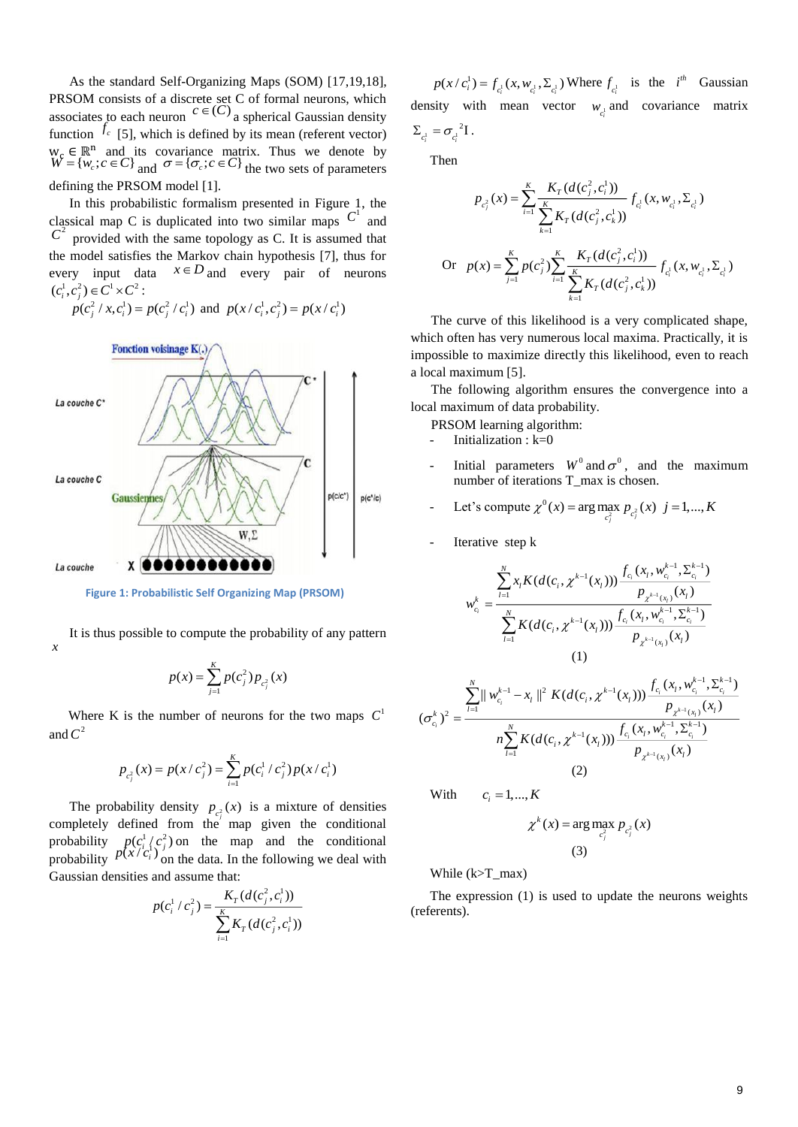As the standard Self-Organizing Maps (SOM) [17,19,18], PRSOM consists of a discrete set C of formal neurons, which associates to each neuron  $c \in (C)$  a spherical Gaussian density function  $f_c$  [5], which is defined by its mean (referent vector)  $w_c \in \mathbb{R}^n$  and its covariance matrix. Thus we denote by  $W = \{w_c : c \in C\}$  and  $\sigma = \{\sigma_c : c \in C\}$  the two sets of parameters defining the PRSOM model [1].

In this probabilistic formalism presented in Figure 1, the classical map C is duplicated into two similar maps  $C<sup>1</sup>$  and  $C<sup>2</sup>$  provided with the same topology as C. It is assumed that the model satisfies the Markov chain hypothesis [7], thus for every input data  $x \in D$  and every pair of neurons  $(c_i^1, c_j^2) \in C^1 \times C^2$ :

 $p(c_j^2 / x, c_i^1) = p(c_j^2 / c_i^1)$  and  $p(x / c_i^1, c_j^2) = p(x / c_i^1)$ 



**Figure 1: Probabilistic Self Organizing Map (PRSOM)**

It is thus possible to compute the probability of any pattern *x*

$$
p(x) = \sum_{j=1}^{K} p(c_j^2) p_{c_j^2}(x)
$$

Where K is the number of neurons for the two maps  $C<sup>1</sup>$ and  $C^2$ 

$$
p_{c_j^2}(x) = p(x/c_j^2) = \sum_{i=1}^K p(c_i^1/c_j^2) p(x/c_i^1)
$$

The probability density  $p_{c_i^2}(x)$  is a mixture of densities completely defined from the map given the conditional probability  $p(c_i^1/c_i^2)$  on the map and the conditional probability  $p(x/c_i)$  on the data. In the following we deal with Gaussian densities and assume that:

$$
p(c_i^1/c_j^2) = \frac{K_T(d(c_j^2, c_i^1))}{\sum_{i=1}^K K_T(d(c_j^2, c_i^1))}
$$

 $p(x / c_i^1) = f_{c_i^1}(x, w_{c_i^1}, \Sigma_{c_i^1})$  Where  $f_{c_i^1}$  is the  $i^{th}$  Gaussian density with mean vector  $w_{c_i}$  and covariance matrix  $_{1}=\sigma$ <sub>1</sub><sup>2</sup>  $\Sigma_{c_i^1} = {\sigma_{c_i^1}}^2 \text{I}$  .

Then

$$
p_{c_j^2}(x) = \sum_{i=1}^K \frac{K_r(d(c_j^2, c_i^1))}{\sum_{k=1}^K K_r(d(c_j^2, c_k^1))} f_{c_i^1}(x, w_{c_i^1}, \Sigma_{c_i^1})
$$
  
Or 
$$
p(x) = \sum_{j=1}^K p(c_j^2) \sum_{i=1}^K \frac{K_r(d(c_j^2, c_i^1))}{\sum_{k=1}^K K_r(d(c_j^2, c_k^1))} f_{c_i^1}(x, w_{c_i^1}, \Sigma_{c_i^1})
$$

The curve of this likelihood is a very complicated shape, which often has very numerous local maxima. Practically, it is impossible to maximize directly this likelihood, even to reach a local maximum [5].

The following algorithm ensures the convergence into a local maximum of data probability.

PRSOM learning algorithm:

- Initialization : k=0
- Initial parameters  $W^0$  and  $\sigma^0$ , and the maximum number of iterations T\_max is chosen.
- Let's compute  $\chi^0(x) = \arg \max_{z} p_{c^2}$  $\chi^{0}(x) = \arg \max_{c_j^{2}} p_{c_j^{2}}(x)$   $j = 1,..., K$
- Iterative step k

$$
w_{c_i}^k = \frac{\sum_{l=1}^N x_l K(d(c_i, \chi^{k-1}(x_l))) \frac{f_{c_i}(x_l, w_{c_i}^{k-1}, \Sigma_{c_i}^{k-1})}{p_{\chi^{k-1}(x_l)}(x_l)}}{\sum_{l=1}^N K(d(c_i, \chi^{k-1}(x_l))) \frac{f_{c_i}(x_l, w_{c_i}^{k-1}, \Sigma_{c_i}^{k-1})}{p_{\chi^{k-1}(x_l)}(x_l)}}
$$
\n(1)

$$
(\sigma_{c_i}^k)^2 = \frac{\sum_{l=1}^N ||w_{c_i}^{k-1} - x_l||^2 K(d(c_i, \chi^{k-1}(x_l))) \frac{f_{c_i}(x_l, w_{c_i}^{k-1}, \Sigma_{c_i}^{k-1})}{p_{\chi^{k-1}(x_l)}(x_l)}}{n \sum_{l=1}^N K(d(c_i, \chi^{k-1}(x_l))) \frac{f_{c_i}(x_l, w_{c_i}^{k-1}, \Sigma_{c_i}^{k-1})}{p_{\chi^{k-1}(x_l)}(x_l)}}
$$
\n(2)

With  $c_i = 1, ..., K$ 

$$
\chi^{k}(x) = \arg \max_{c_{j}^{2}} p_{c_{j}^{2}}(x)
$$
\n(3)

While  $(k>T$  max)

The expression (1) is used to update the neurons weights (referents).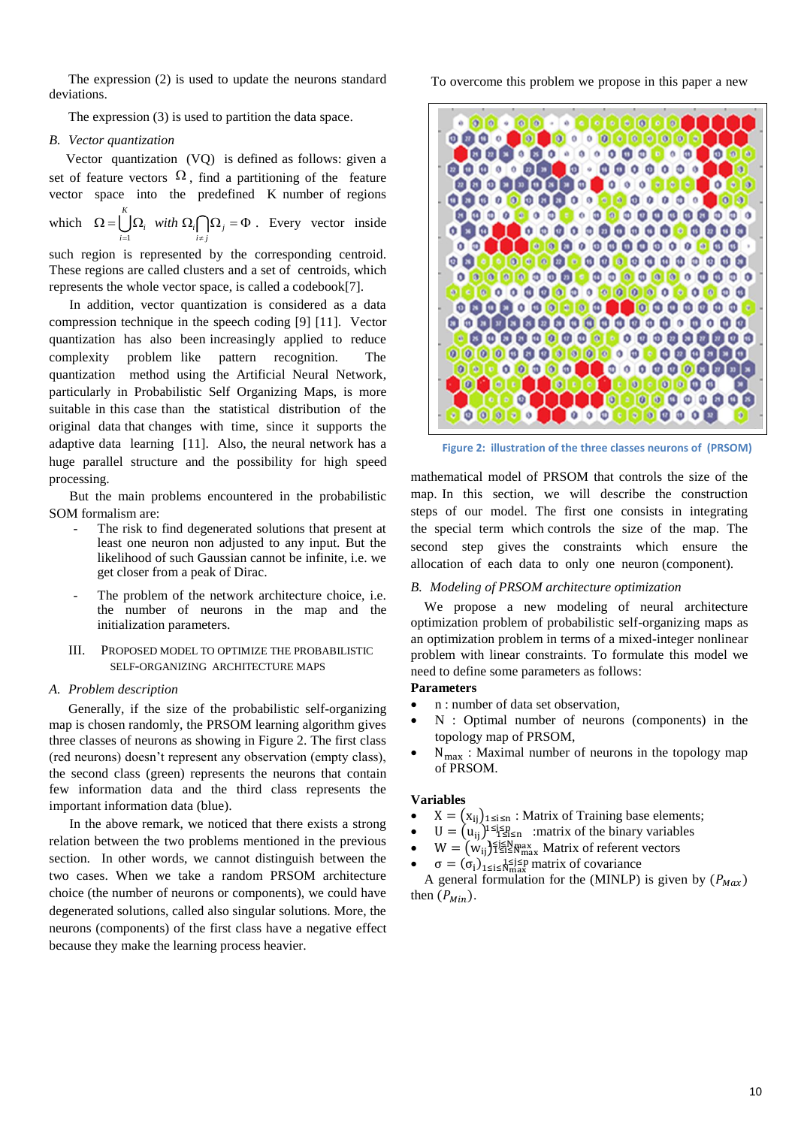The expression (2) is used to update the neurons standard deviations.

The expression (3) is used to partition the data space.

# *B. Vector quantization*

Vector quantization (VQ) is defined as follows: given a set of feature vectors  $\Omega$ , find a partitioning of the feature vector space into the predefined K number of regions

which 1 *K*  $\Omega = \bigcup \Omega_i$  with  $\Omega_i \bigcap \Omega_j = \Phi$ . Every vector inside  $i = 1$   $i \neq j$  $=$ 1  $l \neq$ 

such region is represented by the corresponding centroid. These regions are called clusters and a set of centroids, which represents the whole vector space, is called a codebook[7].

In addition, vector quantization is considered as a data compression technique in the speech coding [9] [11]. Vector quantization has also been increasingly applied to reduce complexity problem like pattern recognition. The quantization method using the Artificial Neural Network, particularly in Probabilistic Self Organizing Maps, is more suitable in this case than the statistical distribution of the original data that changes with time, since it supports the adaptive data learning [11]. Also, the neural network has a huge parallel structure and the possibility for high speed processing.

But the main problems encountered in the probabilistic SOM formalism are:

- The risk to find degenerated solutions that present at least one neuron non adjusted to any input. But the likelihood of such Gaussian cannot be infinite, i.e. we get closer from a peak of Dirac.
- The problem of the network architecture choice, i.e. the number of neurons in the map and the initialization parameters.
- III. PROPOSED MODEL TO OPTIMIZE THE PROBABILISTIC SELF-ORGANIZING ARCHITECTURE MAPS

## *A. Problem description*

Generally, if the size of the probabilistic self-organizing map is chosen randomly, the PRSOM learning algorithm gives three classes of neurons as showing in Figure 2. The first class (red neurons) doesn't represent any observation (empty class), the second class (green) represents the neurons that contain few information data and the third class represents the important information data (blue).

In the above remark, we noticed that there exists a strong relation between the two problems mentioned in the previous section. In other words, we cannot distinguish between the two cases. When we take a random PRSOM architecture choice (the number of neurons or components), we could have degenerated solutions, called also singular solutions. More, the neurons (components) of the first class have a negative effect because they make the learning process heavier.

To overcome this problem we propose in this paper a new



**Figure 2: illustration of the three classes neurons of (PRSOM)**

mathematical model of PRSOM that controls the size of the map. In this section, we will describe the construction steps of our model. The first one consists in integrating the special term which controls the size of the map. The second step gives the constraints which ensure the allocation of each data to only one neuron (component).

# *B. Modeling of PRSOM architecture optimization*

We propose a new modeling of neural architecture optimization problem of probabilistic self-organizing maps as an optimization problem in terms of a mixed-integer nonlinear problem with linear constraints. To formulate this model we need to define some parameters as follows:

# **Parameters**

- n : number of data set observation,
- N : Optimal number of neurons (components) in the topology map of PRSOM,
- Nmax : Maximal number of neurons in the topology map of PRSOM.

# **Variables**

- $X = (x_{ij})_{1 \le i \le n}$ : Matrix of Training base elements;
- $\bullet$   $U = (u_{ij})^{1 \leq j \leq p}$  : matrix of the binary variables
- $\bullet$   $W = (w_{ij})^{\frac{1}{2} \le N_{max}}_{1 \le i \le N_{max}}$  Matrix of referent vectors
- $\bullet$   $\sigma = (\sigma_i)_{1 \leq i \leq N_{\text{max}}} 1^{\leq j \leq p}$  matrix of covariance

A general formulation for the (MINLP) is given by  $(P_{Max})$ then  $(P_{Min})$ .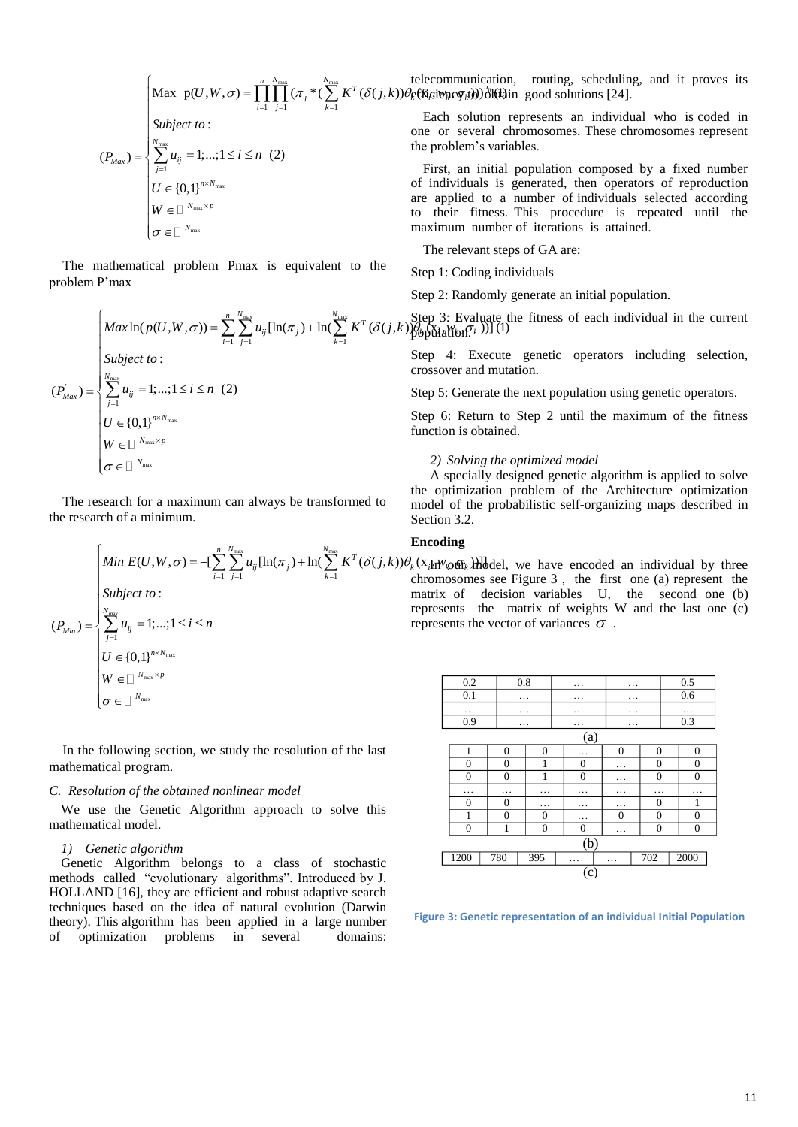$$
(P_{Max}) = \begin{cases} \text{Max } p(U, W, \sigma) = \prod_{i=1}^{n} \prod_{j=1}^{N_{max}} (\pi_j * (\sum_{k=1}^{N_{max}} K^T(\sigma_k))) \\ \text{Subject to :} \\ \sum_{j=1}^{N_{max}} u_{ij} = 1; \dots; 1 \le i \le n \quad (2) \\ U \in \{0,1\}^{n \times N_{max}} \\ W \in \square^{N_{max} \times p} \\ \sigma \in \square^{N_{max}} \end{cases}
$$

The mathematical problem Pmax is equivalent to the problem P'max

$$
(P'_{Max}) = \begin{cases} Max \ln(p(U, W, \sigma)) = \sum_{i=1}^{n} \sum_{j=1}^{N_{max}} u_{ij} [\ln(\pi_j) + \ln(\sum_{k=1}^{N_{max}} K^T (\delta(j, k)))]\n\end{cases}
$$
\n
$$
(P'_{Max}) = \begin{cases} \sum_{j=1}^{N_{max}} u_{ij} = 1; \dots; 1 \le i \le n \quad (2) \\
U \in \{0, 1\}^{n \times N_{max}} \\
U \in \Box^{N_{max} \times p} \\
\sigma \in \Box^{N_{max}}\n\end{cases}
$$

The research for a maximum can always be transformed to the research of a minimum.

**Example 21**  
\n
$$
(P_{Min}) = \begin{cases}\n\text{Min } E(U, W, \sigma) = -[\sum_{i=1}^{n} \sum_{j=1}^{N_{max}} u_{ij} [\ln(\pi_j) + \ln(\sum_{k=1}^{N_{max}} K^T (\delta(j,k))\theta_k (x_{jH}W_0\text{eff}_k \text{h})\text{d}t], \text{ we have encoded an individual by three chromosomes see Figure 3, the first one (a) represent the matrix of decision variables U, the second one (b) represents the matrix of weights W and the last one (c) represents the vector of variances  $\sigma$ .  
\n
$$
U \in \{0,1\}^{n \times N_{max}} \\
W \in \square^{N_{max} \times p} \\
\sigma \in \square^{N_{max}}\n\end{cases}
$$
$$

In the following section, we study the resolution of the last mathematical program.

## *C. Resolution of the obtained nonlinear model*

We use the Genetic Algorithm approach to solve this mathematical model.

## *1) Genetic algorithm*

Genetic Algorithm belongs to a class of stochastic methods called "evolutionary algorithms". Introduced by J. HOLLAND [16], they are efficient and robust adaptive search techniques based on the idea of natural evolution (Darwin theory). This algorithm has been applied in a large number of optimization problems in several domains:

Max  $p(U, W, \sigma) = \prod \prod (\pi_j^* (\sum K^T(\delta(j, k)) \theta_k \text{fix}(\text{div}_k \sigma_k) )$  (if the good solutions [24]. telecommunication, routing, scheduling, and it proves its

> Each solution represents an individual who is coded in one or several chromosomes. These chromosomes represent the problem's variables.

> First, an initial population composed by a fixed number of individuals is generated, then operators of reproduction are applied to a number of individuals selected according to their fitness. This procedure is repeated until the maximum number of iterations is attained.

The relevant steps of GA are:

Step 1: Coding individuals

Step 2: Randomly generate an initial population.

 $Max \ln(p(U, W, \sigma)) = \sum_{i=1}^{n} \sum_{j=1}^{N_{max}} u_{ij} [\ln(\pi_j) + \ln(\sum_{i=1}^{N_{max}} K^T(\delta(j, k))\delta_{\text{obU}}^T(\delta(k)))]^{T}$  (1)<br>Button  $\int_{k}^{N_{max}} V(\delta(j, k)) [1]^{T}$ population.

> Step 4: Execute genetic operators including selection, crossover and mutation.

Step 5: Generate the next population using genetic operators.

Step 6: Return to Step 2 until the maximum of the fitness function is obtained.

## *2) Solving the optimized model*

A specially designed genetic algorithm is applied to solve the optimization problem of the Architecture optimization model of the probabilistic self-organizing maps described in Section 3.2.

# **Encoding**

chromosomes see Figure 3 , the first one (a) represent the matrix of decision variables U, the second one (b) represents the matrix of weights W and the last one (c) represents the vector of variances  $\sigma$ .

| 0.2 |                |                | 0.8            |  | .            | .              |                  | 0.5 |                |
|-----|----------------|----------------|----------------|--|--------------|----------------|------------------|-----|----------------|
| 0.1 |                |                | .              |  | .            |                | .                |     | 0.6            |
| .   |                |                | .              |  | .            | .              |                  |     | .              |
| 0.9 |                |                | .              |  | .            | .              |                  | 0.3 |                |
|     | (a)            |                |                |  |              |                |                  |     |                |
|     | 1              | $\overline{0}$ | $\overline{0}$ |  | .            | $\overline{0}$ | $\overline{0}$   |     | $\overline{0}$ |
|     | $\overline{0}$ | $\overline{0}$ | 1              |  | $\theta$     | .              | $\overline{0}$   |     | $\overline{0}$ |
|     | $\overline{0}$ | $\mathbf{0}$   | 1              |  | $\mathbf{0}$ | .              | $\overline{0}$   |     | $\overline{0}$ |
|     | .              | .              | .              |  | .            | .              | .                |     | .              |
|     | 0              | $\overline{0}$ | .              |  | .            | .              | $\boldsymbol{0}$ |     | 1              |
|     | 1              | $\mathbf{0}$   | $\theta$       |  | .            | $\theta$       | $\overline{0}$   |     | $\overline{0}$ |
|     | $\overline{0}$ | 1              | $\theta$       |  | $\mathbf{0}$ | .              | $\overline{0}$   |     | $\overline{0}$ |
| (b) |                |                |                |  |              |                |                  |     |                |
|     | 1200           | 780            | 395            |  | .            | .              | 702              |     | 2000           |
|     | (c)            |                |                |  |              |                |                  |     |                |

**Figure 3: Genetic representation of an individual Initial Population**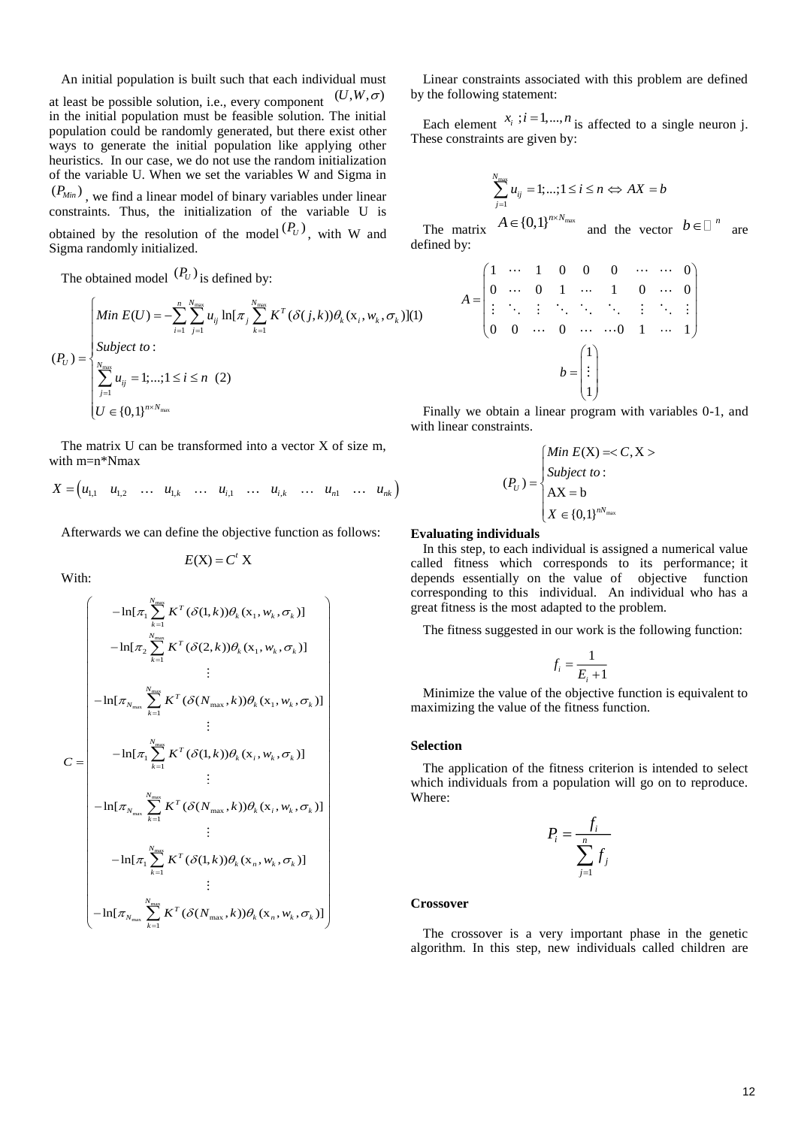An initial population is built such that each individual must at least be possible solution, i.e., every component  $(U, W, \sigma)$ in the initial population must be feasible solution. The initial population could be randomly generated, but there exist other ways to generate the initial population like applying other heuristics. In our case, we do not use the random initialization of the variable U. When we set the variables W and Sigma in  $(P_{Min})$ , we find a linear model of binary variables under linear constraints. Thus, the initialization of the variable U is obtained by the resolution of the model  $(P_U)$ , with W and Sigma randomly initialized.

The obtained model  $(P_U)$  is defined by:

$$
(P_U) = \begin{cases} \n\min E(U) = -\sum_{i=1}^{n} \sum_{j=1}^{N_{\text{max}}} u_{ij} \ln[\pi_j \sum_{k=1}^{N_{\text{max}}} K^T(\delta(j,k)) \theta_k(x_i, w_k, \sigma_k)](1) \\
\text{Subject to:} \\
\sum_{j=1}^{N_{\text{max}}} u_{ij} = 1; \dots; 1 \le i \le n \quad (2) \\
U \in \{0,1\}^{n \times N_{\text{max}}}\n\end{cases}
$$

The matrix U can be transformed into a vector X of size m, with m=n\*Nmax

$$
X = \begin{pmatrix} u_{1,1} & u_{1,2} & \dots & u_{1,k} & \dots & u_{i,1} & \dots & u_{i,k} & \dots & u_{n1} & \dots & u_{nk} \end{pmatrix}
$$

Afterwards we can define the objective function as follows:  $E(X) = C^t X$ 

With:

$$
C = \begin{bmatrix}\n-\ln[\pi_1 \sum_{k=1}^{N_{\text{max}}} K^T (\delta(1,k)) \theta_k(x_1, w_k, \sigma_k)] \\
-\ln[\pi_2 \sum_{k=1}^{N_{\text{max}}} K^T (\delta(2,k)) \theta_k(x_1, w_k, \sigma_k)] \\
\vdots \\
-\ln[\pi_{N_{\text{max}}} \sum_{k=1}^{N_{\text{max}}} K^T (\delta(N_{\text{max}}, k)) \theta_k(x_1, w_k, \sigma_k)] \\
\vdots \\
-\ln[\pi_1 \sum_{k=1}^{N_{\text{max}}} K^T (\delta(1,k)) \theta_k(x_i, w_k, \sigma_k)] \\
\vdots \\
-\ln[\pi_{N_{\text{max}}} \sum_{k=1}^{N_{\text{max}}} K^T (\delta(N_{\text{max}}, k)) \theta_k(x_i, w_k, \sigma_k)] \\
\vdots \\
-\ln[\pi_1 \sum_{k=1}^{N_{\text{max}}} K^T (\delta(1,k)) \theta_k(x_n, w_k, \sigma_k)] \\
\vdots \\
-\ln[\pi_{N_{\text{max}}} \sum_{k=1}^{N_{\text{max}}} K^T (\delta(N_{\text{max}}, k)) \theta_k(x_n, w_k, \sigma_k)]\n\end{bmatrix}
$$

Linear constraints associated with this problem are defined by the following statement:

Each element  $x_i$ ;  $i = 1,...,n$  is affected to a single neuron j. These constraints are given by:

$$
\sum_{j=1}^{N_{\text{max}}} u_{ij} = 1; \dots; 1 \le i \le n \Leftrightarrow AX = b
$$

The matrix  $A \in \{0,1\}^{n \times N_{\text{max}}}$  and the vector  $b \in \Box$ <sup>n</sup> are defined by:

$$
A = \begin{pmatrix} 1 & \cdots & 1 & 0 & 0 & 0 & \cdots & \cdots & 0 \\ 0 & \cdots & 0 & 1 & \cdots & 1 & 0 & \cdots & 0 \\ \vdots & \ddots & \vdots & \ddots & \ddots & \ddots & \vdots & \ddots & \vdots \\ 0 & 0 & \cdots & 0 & \cdots & \cdots & 0 & 1 & \cdots & 1 \end{pmatrix}
$$

$$
b = \begin{pmatrix} 1 \\ \vdots \\ 1 \end{pmatrix}
$$

Finally we obtain a linear program with variables 0-1, and with linear constraints.

$$
(P_U) = \begin{cases} Min E(\mathbf{X}) =  \\ Subject to : \\ \mathbf{AX} = \mathbf{b} \\ X \in \{0,1\}^{nN_{\text{max}}}\end{cases}
$$

# **Evaluating individuals**

In this step, to each individual is assigned a numerical value called fitness which corresponds to its performance; it depends essentially on the value of objective function corresponding to this individual. An individual who has a great fitness is the most adapted to the problem.

The fitness suggested in our work is the following function:

$$
f_i = \frac{1}{E_i + 1}
$$

Minimize the value of the objective function is equivalent to maximizing the value of the fitness function.

#### **Selection**

The application of the fitness criterion is intended to select which individuals from a population will go on to reproduce. Where:

$$
P_i = \frac{f_i}{\sum_{j=1}^n f_j}
$$

#### **Crossover**

The crossover is a very important phase in the genetic algorithm. In this step, new individuals called children are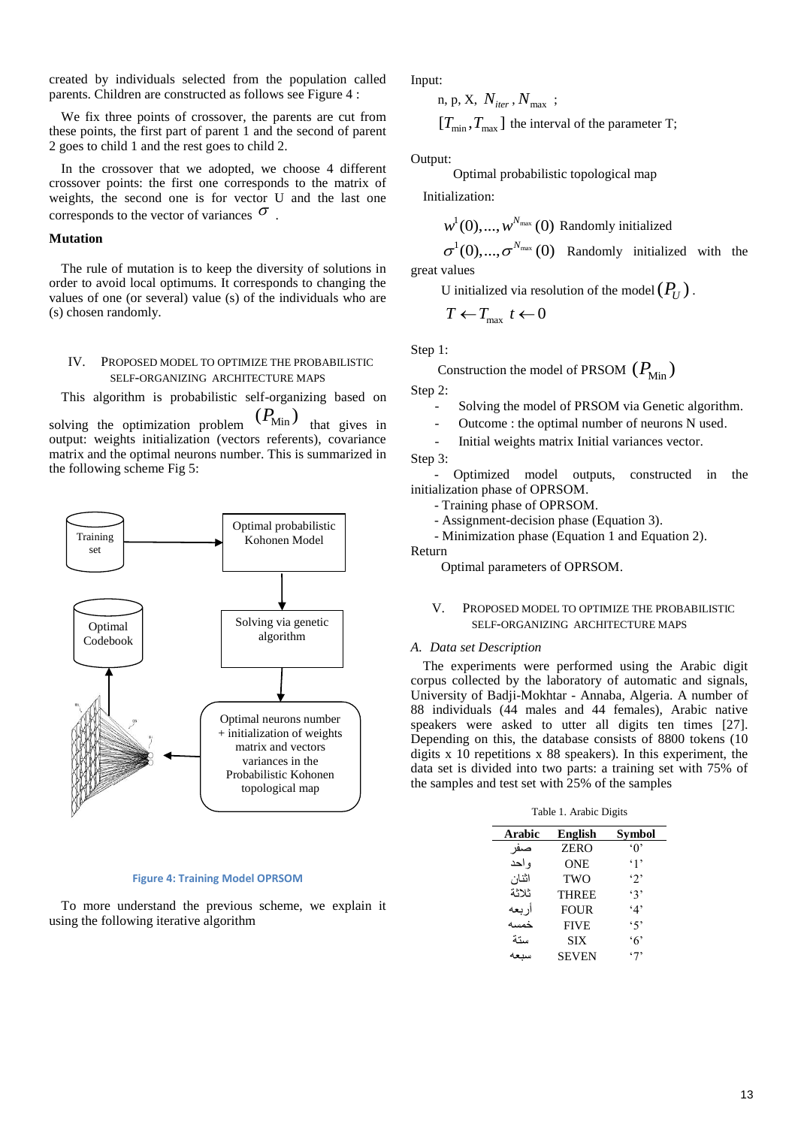created by individuals selected from the population called parents. Children are constructed as follows see Figure 4 :

We fix three points of crossover, the parents are cut from these points, the first part of parent 1 and the second of parent 2 goes to child 1 and the rest goes to child 2.

In the crossover that we adopted, we choose 4 different crossover points: the first one corresponds to the matrix of weights, the second one is for vector U and the last one corresponds to the vector of variances  $\sigma$ .

## **Mutation**

The rule of mutation is to keep the diversity of solutions in order to avoid local optimums. It corresponds to changing the values of one (or several) value (s) of the individuals who are (s) chosen randomly.

# IV. PROPOSED MODEL TO OPTIMIZE THE PROBABILISTIC SELF-ORGANIZING ARCHITECTURE MAPS

This algorithm is probabilistic self-organizing based on

solving the optimization problem  $(P_{\text{Min}})$  that gives in output: weights initialization (vectors referents), covariance matrix and the optimal neurons number. This is summarized in the following scheme Fig 5:



#### **Figure 4: Training Model OPRSOM**

To more understand the previous scheme, we explain it using the following iterative algorithm

Input:

n, p, X, 
$$
N_{iter}
$$
,  $N_{max}$  ;  
\n $[T_{min}, T_{max}]$  the interval of the parameter T;

Output:

Optimal probabilistic topological map

Initialization:

$$
w^1(0),...,w^{N_{\text{max}}}(0)
$$
 Randomly initialized

 $\sigma^1(0),...,\sigma^{N_{\max}}(0)$  Randomly initialized with the great values

U initialized via resolution of the model  $(P_{\!\stackrel{\phantom{.}}{U}})$  .

 $T \leftarrow T_{\text{max}} \ t \leftarrow 0$ 

Step 1:

Construction the model of PRSOM  $(P_{\text{Min}})$ 

Step 2:

- Solving the model of PRSOM via Genetic algorithm.
- Outcome : the optimal number of neurons N used.
- Initial weights matrix Initial variances vector.

Step 3:

 - Optimized model outputs, constructed in the initialization phase of OPRSOM.

- Training phase of OPRSOM.
- Assignment-decision phase (Equation 3).
- Minimization phase (Equation 1 and Equation 2).

Return

Optimal parameters of OPRSOM.

V. PROPOSED MODEL TO OPTIMIZE THE PROBABILISTIC SELF-ORGANIZING ARCHITECTURE MAPS

## *A. Data set Description*

The experiments were performed using the Arabic digit corpus collected by the laboratory of automatic and signals, University of Badji-Mokhtar - Annaba, Algeria. A number of 88 individuals (44 males and 44 females), Arabic native speakers were asked to utter all digits ten times [27]. Depending on this, the database consists of 8800 tokens (10 digits x 10 repetitions x 88 speakers). In this experiment, the data set is divided into two parts: a training set with 75% of the samples and test set with 25% of the samples

Table 1. Arabic Digits

| Arabic | <b>English</b> | Symbol     |
|--------|----------------|------------|
|        | <b>ZERO</b>    | $\Omega$   |
| و احد  | <b>ONE</b>     | $\cdot$ 1' |
| ائنان  | TWO            | $\cdot$ 2' |
| ثلاثة  | <b>THREE</b>   | $\cdot$ 3' |
| أر بعه | <b>FOUR</b>    | 4'         |
| خمسه   | <b>FIVE</b>    | 45         |
| سنة    | <b>SIX</b>     | $\cdot$ 6' |
|        | <b>SEVEN</b>   | ٬7'        |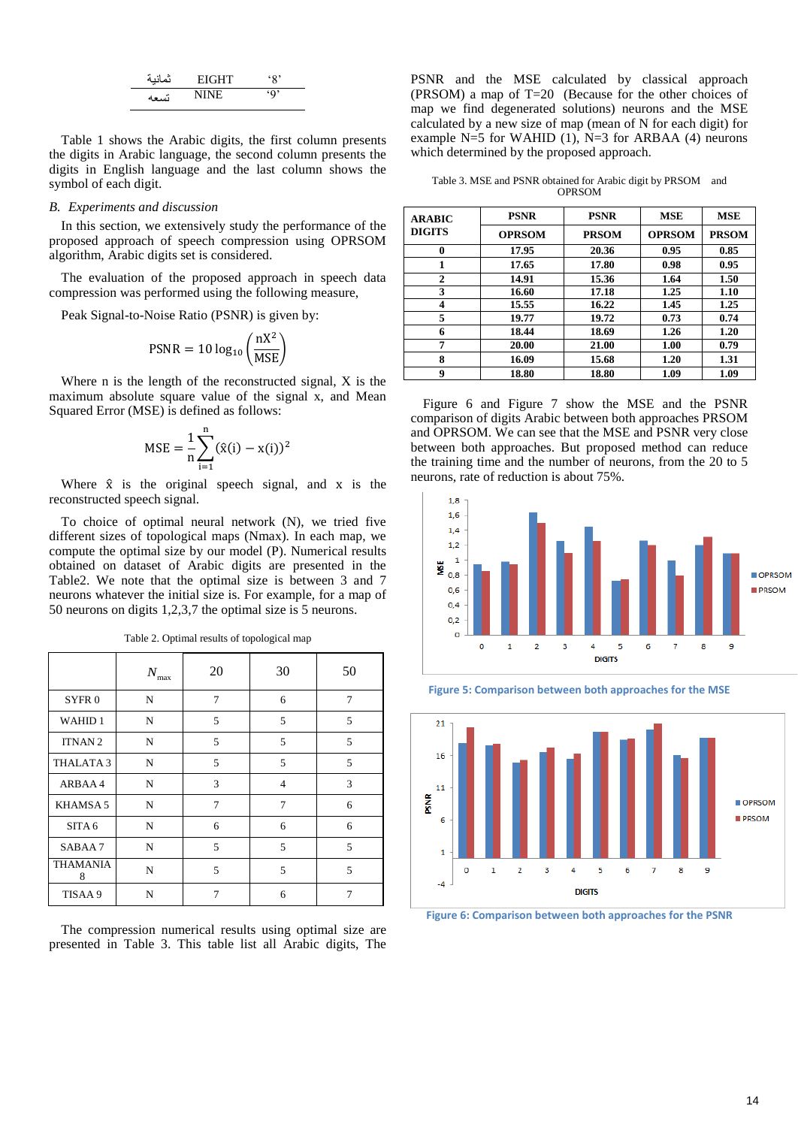| - 29<br>.<br>49 | FIGHT |  |
|-----------------|-------|--|
| $\cdot$         |       |  |

Table 1 shows the Arabic digits, the first column presents the digits in Arabic language, the second column presents the digits in English language and the last column shows the symbol of each digit.

## *B. Experiments and discussion*

In this section, we extensively study the performance of the proposed approach of speech compression using OPRSOM algorithm, Arabic digits set is considered.

The evaluation of the proposed approach in speech data compression was performed using the following measure,

Peak Signal-to-Noise Ratio (PSNR) is given by:

$$
PSNR = 10 \log_{10} \left( \frac{\text{nX}^2}{\text{MSE}} \right)
$$

Where n is the length of the reconstructed signal, X is the maximum absolute square value of the signal x, and Mean Squared Error (MSE) is defined as follows:

$$
MSE = \frac{1}{n} \sum_{i=1}^{n} (\hat{x}(i) - x(i))^2
$$

Where  $\hat{x}$  is the original speech signal, and x is the reconstructed speech signal.

To choice of optimal neural network (N), we tried five different sizes of topological maps (Nmax). In each map, we compute the optimal size by our model (P). Numerical results obtained on dataset of Arabic digits are presented in the Table2. We note that the optimal size is between 3 and 7 neurons whatever the initial size is. For example, for a map of 50 neurons on digits 1,2,3,7 the optimal size is 5 neurons.

|                      | $N_{\rm max}$ | 20 | 30             | 50 |
|----------------------|---------------|----|----------------|----|
| SYFR <sub>0</sub>    | N             | 7  | 6              | 7  |
| WAHID <sub>1</sub>   | N             | 5  | 5              | 5  |
| ITNAN <sub>2</sub>   | $\mathbf N$   | 5  | 5              | 5  |
| THALATA <sub>3</sub> | N             | 5  | 5              | 5  |
| ARBAA4               | $\mathbf N$   | 3  | $\overline{4}$ | 3  |
| KHAMSA 5             | N             | 7  | $\overline{7}$ | 6  |
| SITA <sub>6</sub>    | N             | 6  | 6              | 6  |
| SABAA7               | N             | 5  | 5              | 5  |
| <b>THAMANIA</b><br>8 | N             | 5  | 5              | 5  |
| TISAA 9              | N             | 7  | 6              |    |

Table 2. Optimal results of topological map

The compression numerical results using optimal size are presented in Table 3. This table list all Arabic digits, The

PSNR and the MSE calculated by classical approach (PRSOM) a map of T=20 (Because for the other choices of map we find degenerated solutions) neurons and the MSE calculated by a new size of map (mean of N for each digit) for example  $N=5$  for WAHID (1),  $N=3$  for ARBAA (4) neurons which determined by the proposed approach.

Table 3. MSE and PSNR obtained for Arabic digit by PRSOM and OPRSOM

| <b>ARABIC</b> | <b>PSNR</b>   | <b>PSNR</b>  | <b>MSE</b>    | <b>MSE</b>   |
|---------------|---------------|--------------|---------------|--------------|
| <b>DIGITS</b> | <b>OPRSOM</b> | <b>PRSOM</b> | <b>OPRSOM</b> | <b>PRSOM</b> |
| 0             | 17.95         | 20.36        | 0.95          | 0.85         |
| 1             | 17.65         | 17.80        | 0.98          | 0.95         |
| $\mathbf{2}$  | 14.91         | 15.36        | 1.64          | 1.50         |
| 3             | 16.60         | 17.18        | 1.25          | 1.10         |
| 4             | 15.55         | 16.22        | 1.45          | 1.25         |
| 5             | 19.77         | 19.72        | 0.73          | 0.74         |
| 6             | 18.44         | 18.69        | 1.26          | 1.20         |
| 7             | 20.00         | 21.00        | 1.00          | 0.79         |
| 8             | 16.09         | 15.68        | 1.20          | 1.31         |
| 9             | 18.80         | 18.80        | 1.09          | 1.09         |

Figure 6 and Figure 7 show the MSE and the PSNR comparison of digits Arabic between both approaches PRSOM and OPRSOM. We can see that the MSE and PSNR very close between both approaches. But proposed method can reduce the training time and the number of neurons, from the 20 to 5 neurons, rate of reduction is about 75%.







**Figure 6: Comparison between both approaches for the PSNR**